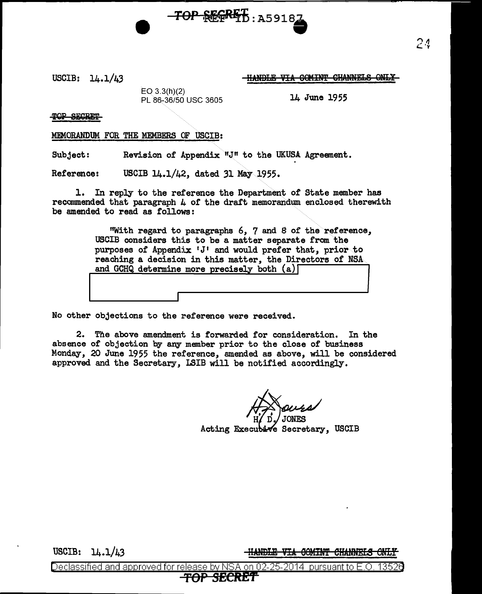USCIB: 14.1/43

I

HANDLE VIA COMINT CHANNELS ONLY

EO 3.3(h)(2) PL 86-36/50 USC 3605 14 June 1955

TOP SECRET

MEMORANDUM FOR THE MEMBERS OF USCIB:

Subject: Revision of Appendix "J" to the UKUSA Agreement.

Reference: USCIB 14.1/42, dated 31 May 1955.

1. In reply to the reference the Department of State member has recommended that paragraph  $\mu$  of the draft memorandum enclosed therewith be amended to read as follows:

> "With regard to paragraphs 6, 7 and S of the reference, USCIB considers this to be a matter separate from the purposes of Appendix 'J' and would prefer that, prior.to reaching a decision in this matter, the Directors of NSA purposes of Appendix 'J' and would prefer that, prior to reaching a decision in this matter, the Directors of NSA and GCHQ determine more precisely both  $(a)$

TOP REFRET : A59182

No other objections to the reference were received.

2. The above amendment is forwarded for consideration. In the absence of objection by any member prior to the close of business Monday, 20 June 1955 the reference, amended as above, will be considered approved and the Secretary, LSIB will be notified accordingly.

Acting Executive Secretary, USCIB

USCIB: 14.1/43

<del>-HANDLE VIA COMINT CHANNELS ONLY</del>

24

Declassified and approved for release by NSA on 02-25-2014  $\,$  pursuant to E.O. 13526  $\,$ SECRET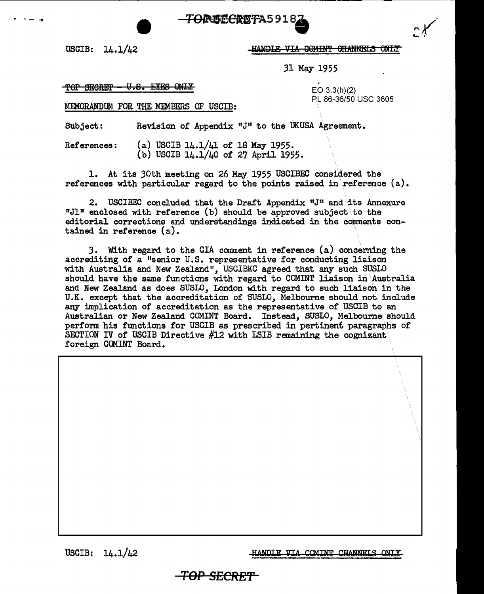

USCIB: 14.1/42

<sup>~</sup>.. - .. ,

HANDLE VIA GOMINT CHANNELS ONLY

31 May 1955

## $\overline{r}$  of SECRET – U.S. EYES ONLY EQ 3.3(h)(2)

MEMORANDUM FOR THE MEMBERS OF USCIB:

PL 86-36/50 USC 3605

Subject: Revision of Appendix "J" to the UKUSA Agreement.

References: (a) USCIB  $14.1/41$  of 18 May 1955. (b) USCIB 14.1/40 of 27 April 1955.

1. At its 30th meeting on 26 May 1955 USCIBEG considered the references with particular regard to the points raised in reference  $(a)$ .

2. USCIBEC concluded that the Draft Appendix  $"J"$  and its Annexure "Jl" enclosed with reference (b) should be approved subject to the editorial corrections and understandings indicated in the comments contained in reference (a).

3. With regard to the CIA comment in reference (a) concerning the accrediting of a "senior U.S. representative for conducting liaison with Australia and New Zealand", USCIBEC agreed that any such SUSLO should have the same functions with regard to COMINT liaison in Australia and New Zealand as does SUSLO, London with regard to such liaison in the U.K. except that the accreditation of SUSLO, Melbourne should not include any implication of accreditation as the representative of USCIB to an Australian or New Zealand COMINT Board. Instead, SUSLO, Melbourne\ should perform his functions for USCIB as prescribed in pertinent paragraphs of SECTION IV of USCIB Directive #12 with LSIB remaining the cognizant foreign COMINT Board.

USCIB: 14.1/42

HANDLE VIA COMINT CHANNELS ONLY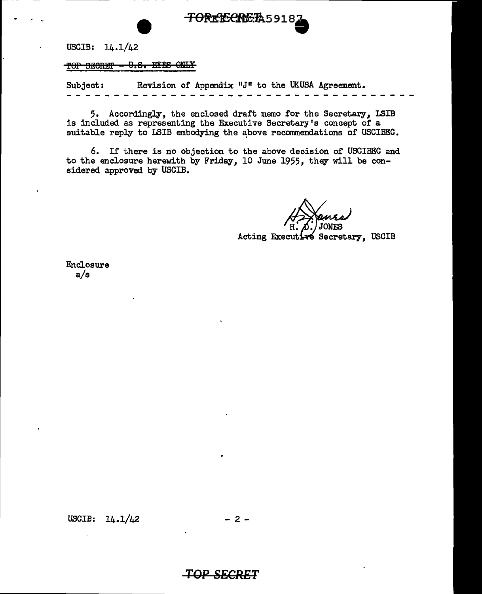

USCIB: 14.1/42

. .

TOP SECRET - U.S. EYES ONLY

Subject: Revision of Appendix " $J<sup>II</sup>$  to the UKUSA Agreement.

5. Accordingly, the enclosed draft memo for the Secretary, ISIB is included as representing the Executive Secretary's concept of a suitable reply to LSIB embodying the above recommendations of USCIBEC.

6. If there is no objection to the above decision of USCIBEC and to the enclosure herewith by Friday, 10 June 1955, they will be considered approved by USCIB.

**Acting Execut** é Secretary, USCIB

Enclosure a/s

USCIB: 14.1/42

 $-2 -$ 

**TOP SECRET**